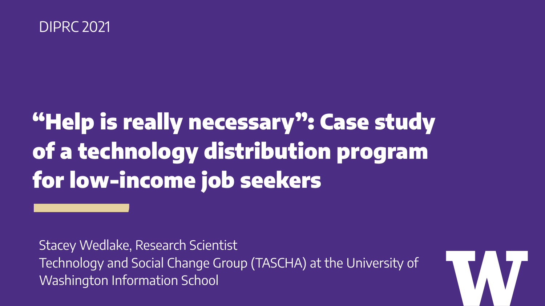#### DIPRC 2021

### "Help is really necessary": Case study of a technology distribution program for low-income job seekers

Stacey Wedlake, Research Scientist Technology and Social Change Group (TASCHA) at the University of Washington Information School

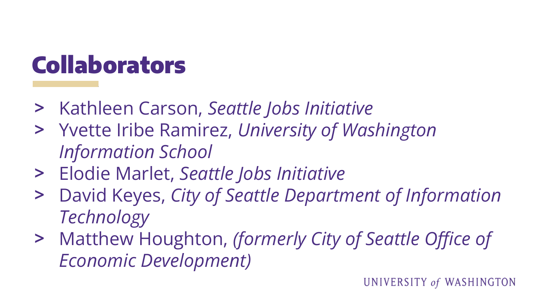#### **Collaborators**

- > Kathleen Carson, *Seattle Jobs Initiative*
- > Yvette Iribe Ramirez, *University of Washington Information School*
- > Elodie Marlet, *Seattle Jobs Initiative*
- > David Keyes, *City of Seattle Department of Information Technology*
- > Matthew Houghton, *(formerly City of Seattle Office of Economic Development)*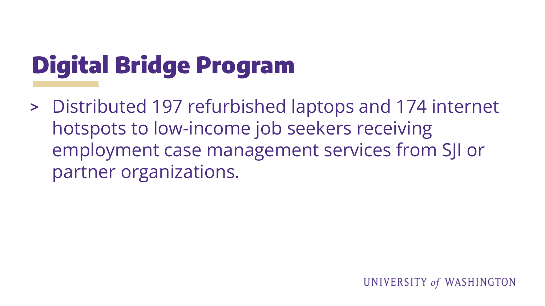## Digital Bridge Program

> Distributed 197 refurbished laptops and 174 internet hotspots to low-income job seekers receiving employment case management services from SJI or partner organizations.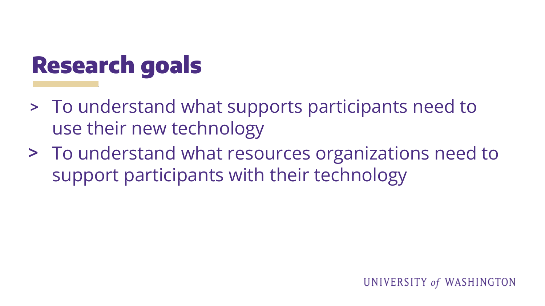#### Research goals

- > To understand what supports participants need to use their new technology
- > To understand what resources organizations need to support participants with their technology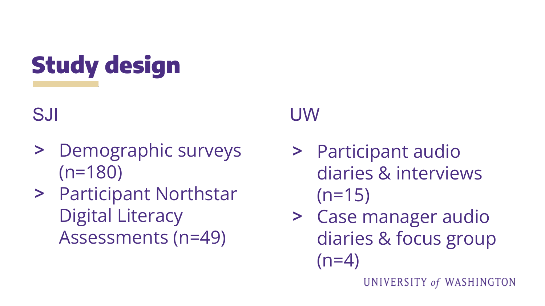Study design

SJI

- > Demographic surveys (n=180)
- > Participant Northstar Digital Literacy Assessments (n=49)

#### UW

- > Participant audio diaries & interviews  $(n=15)$
- > Case manager audio diaries & focus group  $(n=4)$

UNIVERSITY of WASHINGTON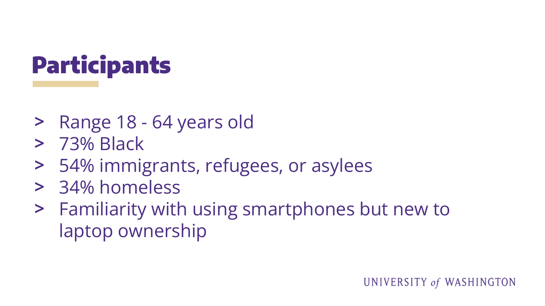# Participants

- > Range 18 64 years old
- > 73% Black
- > 54% immigrants, refugees, or asylees
- > 34% homeless
- > Familiarity with using smartphones but new to laptop ownership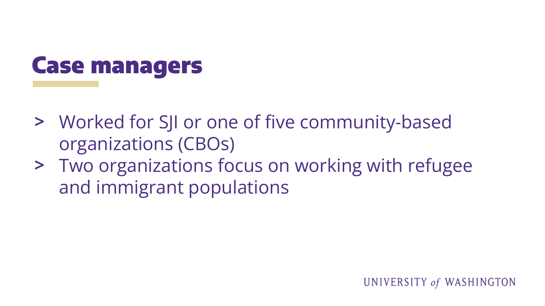

- > Worked for SJI or one of five community-based organizations (CBOs)
- > Two organizations focus on working with refugee and immigrant populations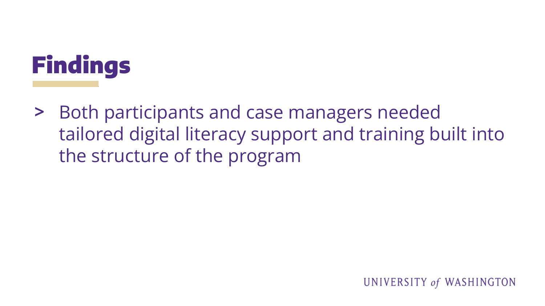

> Both participants and case managers needed tailored digital literacy support and training built into the structure of the program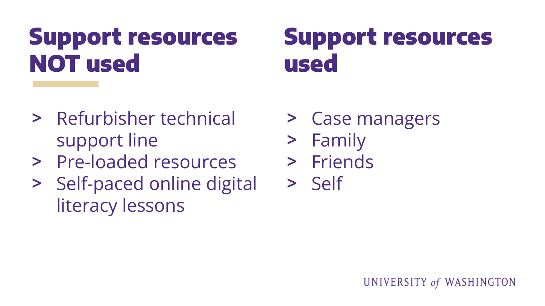### Support resources NOT used

#### Support resources used

- > Refurbisher technical support line
- > Pre-loaded resources
- > Self-paced online digital literacy lessons
- > Case managers
- > Family
- > Friends
- > Self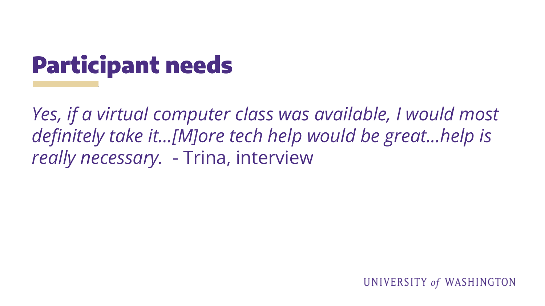## Participant needs

*Yes, if a virtual computer class was available, I would most definitely take it…[M]ore tech help would be great...help is really necessary.* - Trina, interview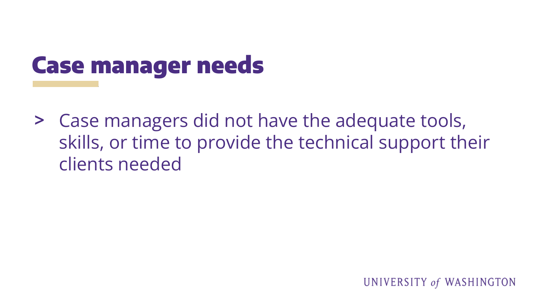### Case manager needs

> Case managers did not have the adequate tools, skills, or time to provide the technical support their clients needed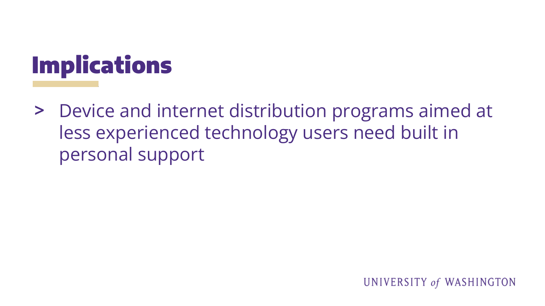

> Device and internet distribution programs aimed at less experienced technology users need built in personal support